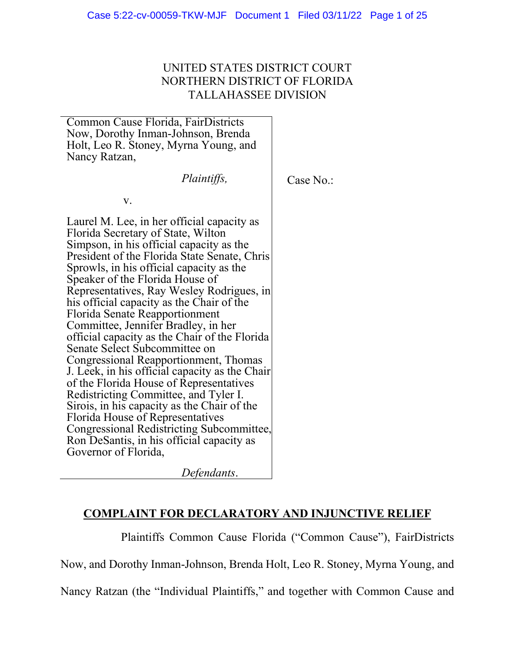# UNITED STATES DISTRICT COURT NORTHERN DISTRICT OF FLORIDA TALLAHASSEE DIVISION

Common Cause Florida, FairDistricts Now, Dorothy Inman-Johnson, Brenda Holt, Leo R. Stoney, Myrna Young, and Nancy Ratzan,

*Plaintiffs,*

Case No.:

v.

Laurel M. Lee, in her official capacity as Florida Secretary of State, Wilton Simpson, in his official capacity as the President of the Florida State Senate, Chris Sprowls, in his official capacity as the Speaker of the Florida House of Representatives, Ray Wesley Rodrigues, in his official capacity as the Chair of the Florida Senate Reapportionment Committee, Jennifer Bradley, in her official capacity as the Chair of the Florida Senate Select Subcommittee on Congressional Reapportionment, Thomas J. Leek, in his official capacity as the Chair of the Florida House of Representatives Redistricting Committee, and Tyler I. Sirois, in his capacity as the Chair of the Florida House of Representatives Congressional Redistricting Subcommittee, Ron DeSantis, in his official capacity as Governor of Florida,

*Defendants*.

# **COMPLAINT FOR DECLARATORY AND INJUNCTIVE RELIEF**

Plaintiffs Common Cause Florida ("Common Cause"), FairDistricts Now, and Dorothy Inman-Johnson, Brenda Holt, Leo R. Stoney, Myrna Young, and

Nancy Ratzan (the "Individual Plaintiffs," and together with Common Cause and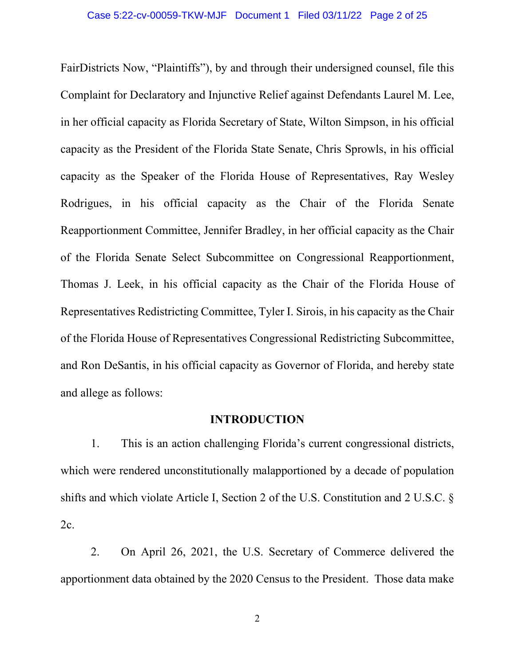FairDistricts Now, "Plaintiffs"), by and through their undersigned counsel, file this Complaint for Declaratory and Injunctive Relief against Defendants Laurel M. Lee, in her official capacity as Florida Secretary of State, Wilton Simpson, in his official capacity as the President of the Florida State Senate, Chris Sprowls, in his official capacity as the Speaker of the Florida House of Representatives, Ray Wesley Rodrigues, in his official capacity as the Chair of the Florida Senate Reapportionment Committee, Jennifer Bradley, in her official capacity as the Chair of the Florida Senate Select Subcommittee on Congressional Reapportionment, Thomas J. Leek, in his official capacity as the Chair of the Florida House of Representatives Redistricting Committee, Tyler I. Sirois, in his capacity as the Chair of the Florida House of Representatives Congressional Redistricting Subcommittee, and Ron DeSantis, in his official capacity as Governor of Florida, and hereby state and allege as follows:

### **INTRODUCTION**

1. This is an action challenging Florida's current congressional districts, which were rendered unconstitutionally malapportioned by a decade of population shifts and which violate Article I, Section 2 of the U.S. Constitution and 2 U.S.C. § 2c.

2. On April 26, 2021, the U.S. Secretary of Commerce delivered the apportionment data obtained by the 2020 Census to the President. Those data make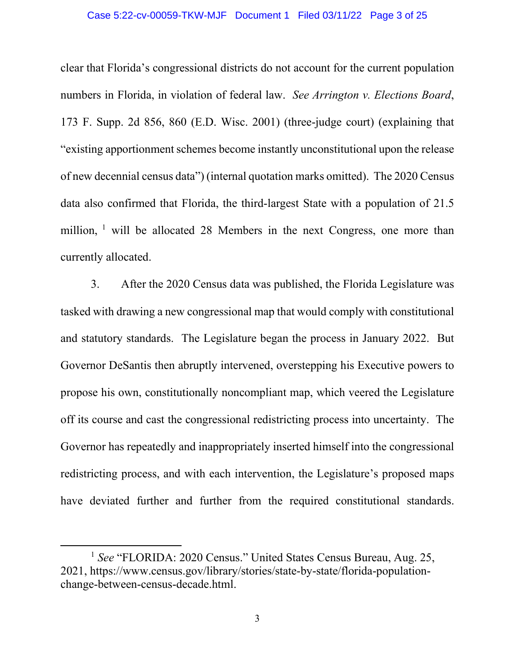#### Case 5:22-cv-00059-TKW-MJF Document 1 Filed 03/11/22 Page 3 of 25

clear that Florida's congressional districts do not account for the current population numbers in Florida, in violation of federal law. *See Arrington v. Elections Board*, 173 F. Supp. 2d 856, 860 (E.D. Wisc. 2001) (three-judge court) (explaining that "existing apportionment schemes become instantly unconstitutional upon the release of new decennial census data") (internal quotation marks omitted). The 2020 Census data also confirmed that Florida, the third-largest State with a population of 21.5 million,  $\frac{1}{1}$  $\frac{1}{1}$  $\frac{1}{1}$  will be allocated 28 Members in the next Congress, one more than currently allocated.

3. After the 2020 Census data was published, the Florida Legislature was tasked with drawing a new congressional map that would comply with constitutional and statutory standards. The Legislature began the process in January 2022. But Governor DeSantis then abruptly intervened, overstepping his Executive powers to propose his own, constitutionally noncompliant map, which veered the Legislature off its course and cast the congressional redistricting process into uncertainty. The Governor has repeatedly and inappropriately inserted himself into the congressional redistricting process, and with each intervention, the Legislature's proposed maps have deviated further and further from the required constitutional standards.

<span id="page-2-0"></span><sup>1</sup> *See* "FLORIDA: 2020 Census." United States Census Bureau, Aug. 25, 2021, https://www.census.gov/library/stories/state-by-state/florida-populationchange-between-census-decade.html.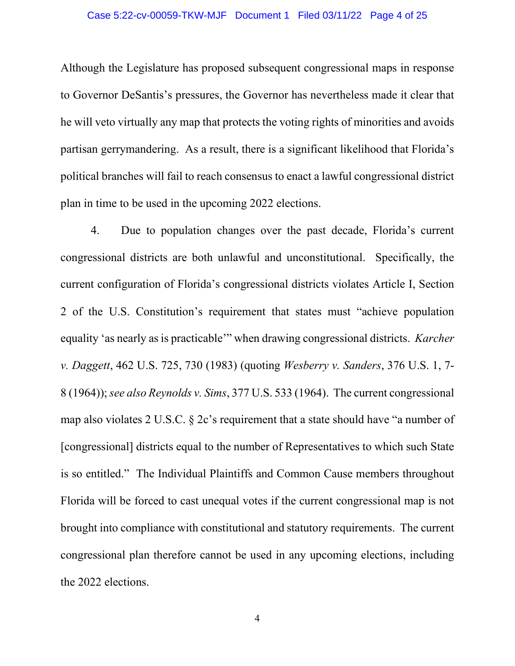#### Case 5:22-cv-00059-TKW-MJF Document 1 Filed 03/11/22 Page 4 of 25

Although the Legislature has proposed subsequent congressional maps in response to Governor DeSantis's pressures, the Governor has nevertheless made it clear that he will veto virtually any map that protects the voting rights of minorities and avoids partisan gerrymandering. As a result, there is a significant likelihood that Florida's political branches will fail to reach consensus to enact a lawful congressional district plan in time to be used in the upcoming 2022 elections.

4. Due to population changes over the past decade, Florida's current congressional districts are both unlawful and unconstitutional. Specifically, the current configuration of Florida's congressional districts violates Article I, Section 2 of the U.S. Constitution's requirement that states must "achieve population equality 'as nearly as is practicable'" when drawing congressional districts. *Karcher v. Daggett*, 462 U.S. 725, 730 (1983) (quoting *Wesberry v. Sanders*, 376 U.S. 1, 7- 8 (1964)); *see also Reynolds v. Sims*, 377 U.S. 533 (1964). The current congressional map also violates 2 U.S.C. § 2c's requirement that a state should have "a number of [congressional] districts equal to the number of Representatives to which such State is so entitled." The Individual Plaintiffs and Common Cause members throughout Florida will be forced to cast unequal votes if the current congressional map is not brought into compliance with constitutional and statutory requirements. The current congressional plan therefore cannot be used in any upcoming elections, including the 2022 elections.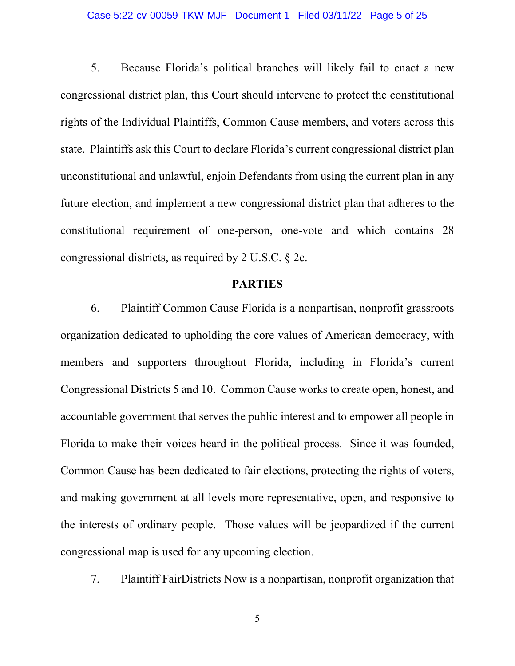#### Case 5:22-cv-00059-TKW-MJF Document 1 Filed 03/11/22 Page 5 of 25

5. Because Florida's political branches will likely fail to enact a new congressional district plan, this Court should intervene to protect the constitutional rights of the Individual Plaintiffs, Common Cause members, and voters across this state. Plaintiffs ask this Court to declare Florida's current congressional district plan unconstitutional and unlawful, enjoin Defendants from using the current plan in any future election, and implement a new congressional district plan that adheres to the constitutional requirement of one-person, one-vote and which contains 28 congressional districts, as required by 2 U.S.C. § 2c.

## **PARTIES**

6. Plaintiff Common Cause Florida is a nonpartisan, nonprofit grassroots organization dedicated to upholding the core values of American democracy, with members and supporters throughout Florida, including in Florida's current Congressional Districts 5 and 10. Common Cause works to create open, honest, and accountable government that serves the public interest and to empower all people in Florida to make their voices heard in the political process. Since it was founded, Common Cause has been dedicated to fair elections, protecting the rights of voters, and making government at all levels more representative, open, and responsive to the interests of ordinary people. Those values will be jeopardized if the current congressional map is used for any upcoming election.

7. Plaintiff FairDistricts Now is a nonpartisan, nonprofit organization that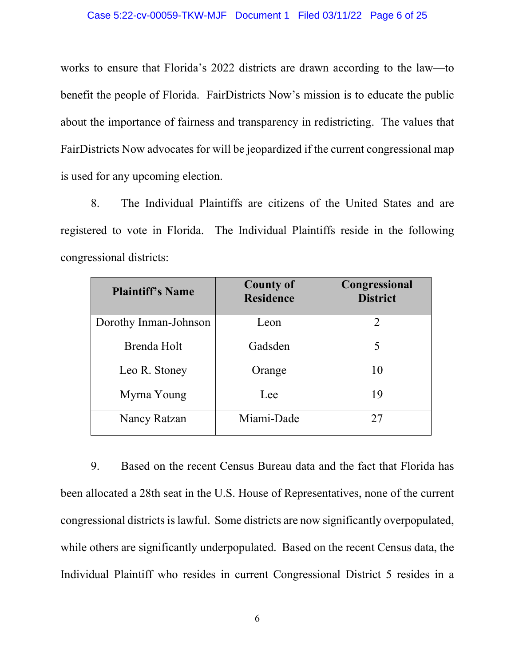works to ensure that Florida's 2022 districts are drawn according to the law—to benefit the people of Florida. FairDistricts Now's mission is to educate the public about the importance of fairness and transparency in redistricting. The values that FairDistricts Now advocates for will be jeopardized if the current congressional map is used for any upcoming election.

8. The Individual Plaintiffs are citizens of the United States and are registered to vote in Florida. The Individual Plaintiffs reside in the following congressional districts:

| <b>Plaintiff's Name</b> | <b>County of</b><br><b>Residence</b> | Congressional<br><b>District</b> |
|-------------------------|--------------------------------------|----------------------------------|
| Dorothy Inman-Johnson   | Leon                                 | 2                                |
| Brenda Holt             | Gadsden                              | 5                                |
| Leo R. Stoney           | Orange                               | 10                               |
| Myrna Young             | Lee                                  | 19                               |
| Nancy Ratzan            | Miami-Dade                           | 27                               |

9. Based on the recent Census Bureau data and the fact that Florida has been allocated a 28th seat in the U.S. House of Representatives, none of the current congressional districts islawful. Some districts are now significantly overpopulated, while others are significantly underpopulated. Based on the recent Census data, the Individual Plaintiff who resides in current Congressional District 5 resides in a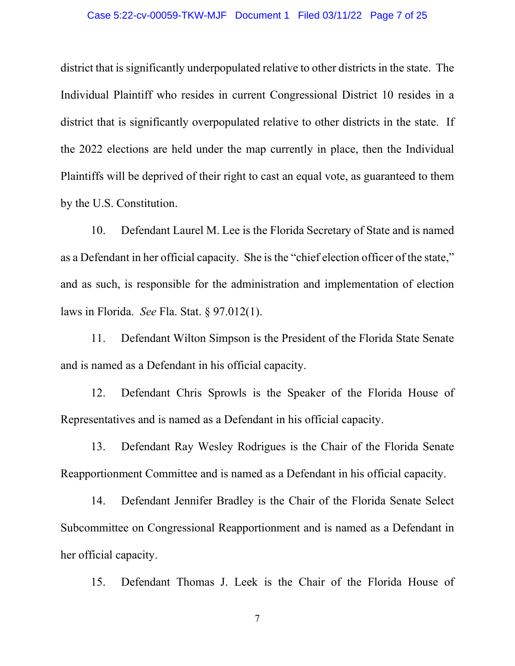#### Case 5:22-cv-00059-TKW-MJF Document 1 Filed 03/11/22 Page 7 of 25

district that is significantly underpopulated relative to other districts in the state. The Individual Plaintiff who resides in current Congressional District 10 resides in a district that is significantly overpopulated relative to other districts in the state. If the 2022 elections are held under the map currently in place, then the Individual Plaintiffs will be deprived of their right to cast an equal vote, as guaranteed to them by the U.S. Constitution.

10. Defendant Laurel M. Lee is the Florida Secretary of State and is named as a Defendant in her official capacity. She is the "chief election officer of the state," and as such, is responsible for the administration and implementation of election laws in Florida. *See* Fla. Stat. § 97.012(1).

11. Defendant Wilton Simpson is the President of the Florida State Senate and is named as a Defendant in his official capacity.

12. Defendant Chris Sprowls is the Speaker of the Florida House of Representatives and is named as a Defendant in his official capacity.

13. Defendant Ray Wesley Rodrigues is the Chair of the Florida Senate Reapportionment Committee and is named as a Defendant in his official capacity.

14. Defendant Jennifer Bradley is the Chair of the Florida Senate Select Subcommittee on Congressional Reapportionment and is named as a Defendant in her official capacity.

15. Defendant Thomas J. Leek is the Chair of the Florida House of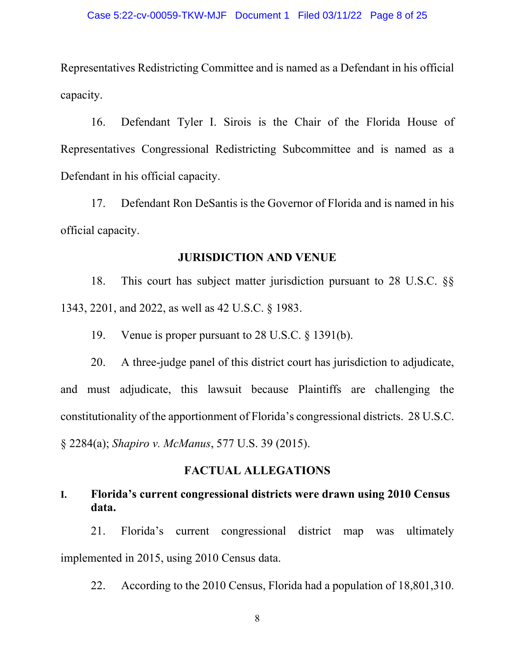Representatives Redistricting Committee and is named as a Defendant in his official capacity.

16. Defendant Tyler I. Sirois is the Chair of the Florida House of Representatives Congressional Redistricting Subcommittee and is named as a Defendant in his official capacity.

17. Defendant Ron DeSantis is the Governor of Florida and is named in his official capacity.

### **JURISDICTION AND VENUE**

18. This court has subject matter jurisdiction pursuant to 28 U.S.C. §§ 1343, 2201, and 2022, as well as 42 U.S.C. § 1983.

19. Venue is proper pursuant to 28 U.S.C. § 1391(b).

20. A three-judge panel of this district court has jurisdiction to adjudicate, and must adjudicate, this lawsuit because Plaintiffs are challenging the constitutionality of the apportionment of Florida's congressional districts. 28 U.S.C. § 2284(a); *Shapiro v. McManus*, 577 U.S. 39 (2015).

## **FACTUAL ALLEGATIONS**

# **I. Florida's current congressional districts were drawn using 2010 Census data.**

21. Florida's current congressional district map was ultimately implemented in 2015, using 2010 Census data.

22. According to the 2010 Census, Florida had a population of 18,801,310.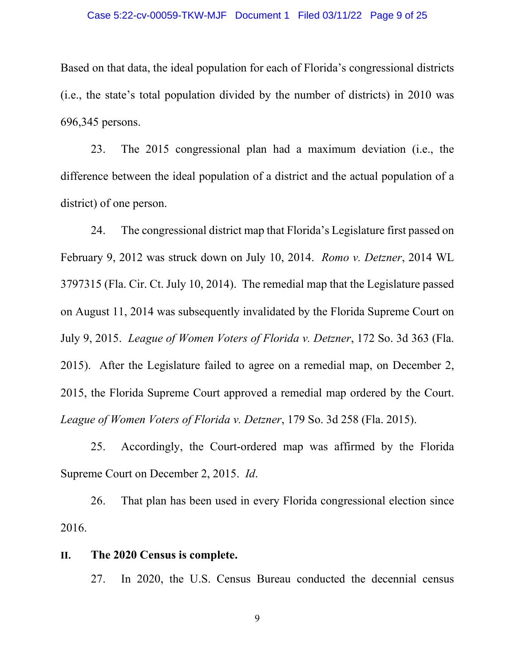#### Case 5:22-cv-00059-TKW-MJF Document 1 Filed 03/11/22 Page 9 of 25

Based on that data, the ideal population for each of Florida's congressional districts (i.e., the state's total population divided by the number of districts) in 2010 was 696,345 persons.

23. The 2015 congressional plan had a maximum deviation (i.e., the difference between the ideal population of a district and the actual population of a district) of one person.

24. The congressional district map that Florida's Legislature first passed on February 9, 2012 was struck down on July 10, 2014. *Romo v. Detzner*, 2014 WL 3797315 (Fla. Cir. Ct. July 10, 2014). The remedial map that the Legislature passed on August 11, 2014 was subsequently invalidated by the Florida Supreme Court on July 9, 2015. *League of Women Voters of Florida v. Detzner*, 172 So. 3d 363 (Fla. 2015). After the Legislature failed to agree on a remedial map, on December 2, 2015, the Florida Supreme Court approved a remedial map ordered by the Court. *League of Women Voters of Florida v. Detzner*, 179 So. 3d 258 (Fla. 2015).

25. Accordingly, the Court-ordered map was affirmed by the Florida Supreme Court on December 2, 2015. *Id*.

26. That plan has been used in every Florida congressional election since 2016.

### **II. The 2020 Census is complete.**

27. In 2020, the U.S. Census Bureau conducted the decennial census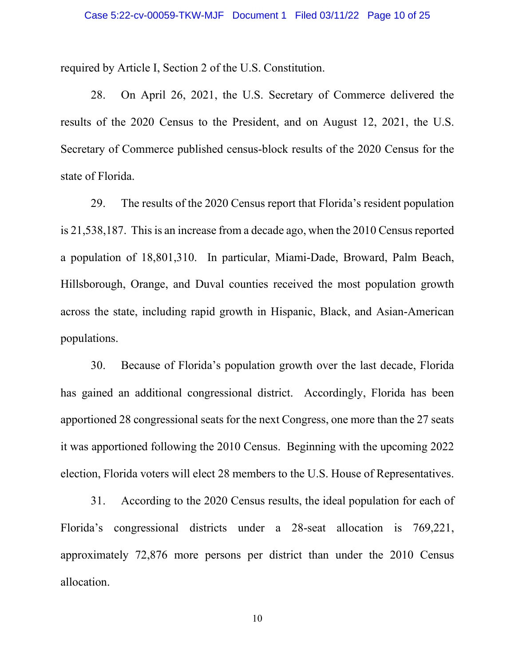required by Article I, Section 2 of the U.S. Constitution.

28. On April 26, 2021, the U.S. Secretary of Commerce delivered the results of the 2020 Census to the President, and on August 12, 2021, the U.S. Secretary of Commerce published census-block results of the 2020 Census for the state of Florida.

29. The results of the 2020 Census report that Florida's resident population is 21,538,187. This is an increase from a decade ago, when the 2010 Census reported a population of 18,801,310. In particular, Miami-Dade, Broward, Palm Beach, Hillsborough, Orange, and Duval counties received the most population growth across the state, including rapid growth in Hispanic, Black, and Asian-American populations.

30. Because of Florida's population growth over the last decade, Florida has gained an additional congressional district. Accordingly, Florida has been apportioned 28 congressional seats for the next Congress, one more than the 27 seats it was apportioned following the 2010 Census. Beginning with the upcoming 2022 election, Florida voters will elect 28 members to the U.S. House of Representatives.

31. According to the 2020 Census results, the ideal population for each of Florida's congressional districts under a 28-seat allocation is 769,221, approximately 72,876 more persons per district than under the 2010 Census allocation.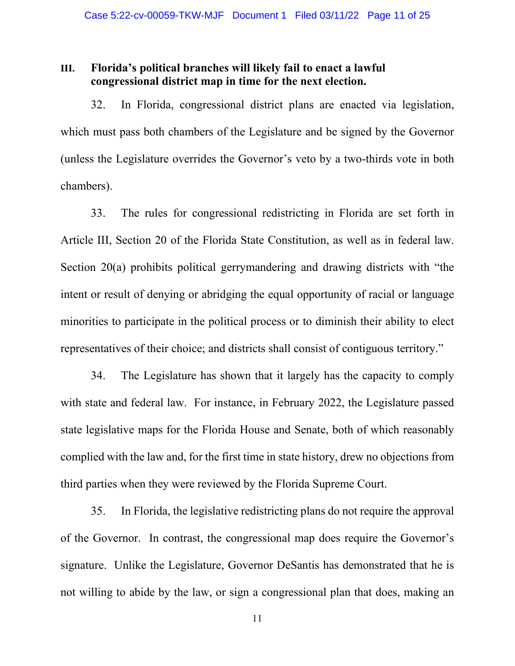## **III. Florida's political branches will likely fail to enact a lawful congressional district map in time for the next election.**

32. In Florida, congressional district plans are enacted via legislation, which must pass both chambers of the Legislature and be signed by the Governor (unless the Legislature overrides the Governor's veto by a two-thirds vote in both chambers).

33. The rules for congressional redistricting in Florida are set forth in Article III, Section 20 of the Florida State Constitution, as well as in federal law. Section 20(a) prohibits political gerrymandering and drawing districts with "the intent or result of denying or abridging the equal opportunity of racial or language minorities to participate in the political process or to diminish their ability to elect representatives of their choice; and districts shall consist of contiguous territory."

34. The Legislature has shown that it largely has the capacity to comply with state and federal law. For instance, in February 2022, the Legislature passed state legislative maps for the Florida House and Senate, both of which reasonably complied with the law and, for the first time in state history, drew no objections from third parties when they were reviewed by the Florida Supreme Court.

35. In Florida, the legislative redistricting plans do not require the approval of the Governor. In contrast, the congressional map does require the Governor's signature. Unlike the Legislature, Governor DeSantis has demonstrated that he is not willing to abide by the law, or sign a congressional plan that does, making an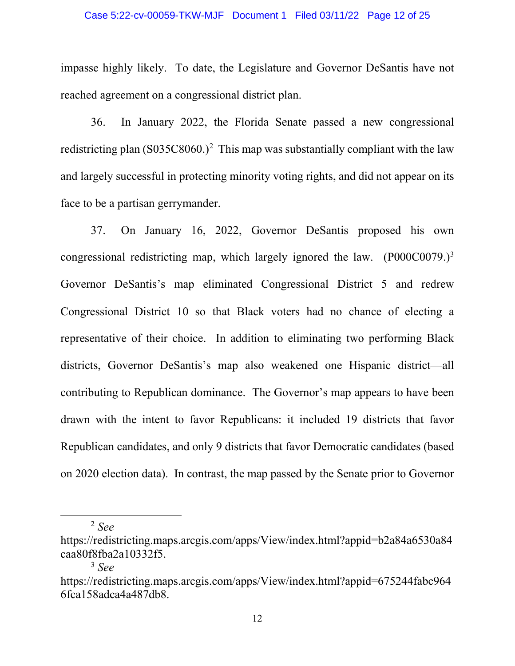#### Case 5:22-cv-00059-TKW-MJF Document 1 Filed 03/11/22 Page 12 of 25

impasse highly likely. To date, the Legislature and Governor DeSantis have not reached agreement on a congressional district plan.

36. In January 2022, the Florida Senate passed a new congressional redistricting plan  $(S035C8060.)^2$  $(S035C8060.)^2$  This map was substantially compliant with the law and largely successful in protecting minority voting rights, and did not appear on its face to be a partisan gerrymander.

37. On January 16, 2022, Governor DeSantis proposed his own congressional redistricting map, which largely ignored the law. (P000C0079.)<sup>3</sup> Governor DeSantis's map eliminated Congressional District 5 and redrew Congressional District 10 so that Black voters had no chance of electing a representative of their choice. In addition to eliminating two performing Black districts, Governor DeSantis's map also weakened one Hispanic district—all contributing to Republican dominance. The Governor's map appears to have been drawn with the intent to favor Republicans: it included 19 districts that favor Republican candidates, and only 9 districts that favor Democratic candidates (based on 2020 election data). In contrast, the map passed by the Senate prior to Governor

<sup>2</sup> *See*

<span id="page-11-0"></span>https://redistricting.maps.arcgis.com/apps/View/index.html?appid=b2a84a6530a84 caa80f8fba2a10332f5.

<sup>3</sup> *See*

<span id="page-11-1"></span>https://redistricting.maps.arcgis.com/apps/View/index.html?appid=675244fabc964 6fca158adca4a487db8.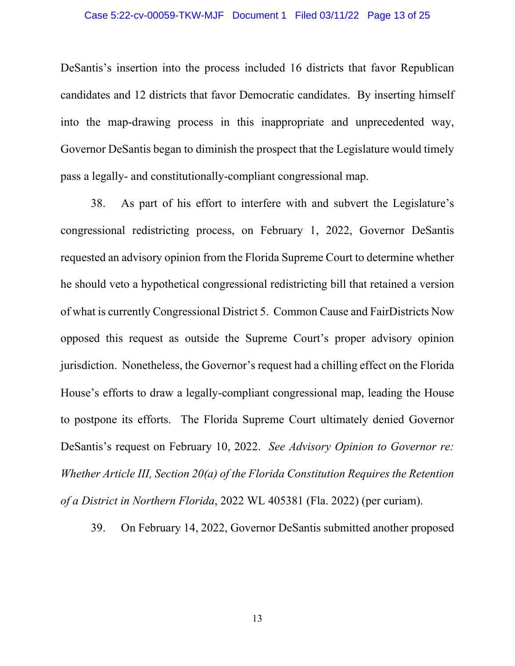#### Case 5:22-cv-00059-TKW-MJF Document 1 Filed 03/11/22 Page 13 of 25

DeSantis's insertion into the process included 16 districts that favor Republican candidates and 12 districts that favor Democratic candidates. By inserting himself into the map-drawing process in this inappropriate and unprecedented way, Governor DeSantis began to diminish the prospect that the Legislature would timely pass a legally- and constitutionally-compliant congressional map.

38. As part of his effort to interfere with and subvert the Legislature's congressional redistricting process, on February 1, 2022, Governor DeSantis requested an advisory opinion from the Florida Supreme Court to determine whether he should veto a hypothetical congressional redistricting bill that retained a version of what is currently Congressional District 5. Common Cause and FairDistricts Now opposed this request as outside the Supreme Court's proper advisory opinion jurisdiction. Nonetheless, the Governor's request had a chilling effect on the Florida House's efforts to draw a legally-compliant congressional map, leading the House to postpone its efforts. The Florida Supreme Court ultimately denied Governor DeSantis's request on February 10, 2022. *See Advisory Opinion to Governor re: Whether Article III, Section 20(a) of the Florida Constitution Requires the Retention of a District in Northern Florida*, 2022 WL 405381 (Fla. 2022) (per curiam).

39. On February 14, 2022, Governor DeSantis submitted another proposed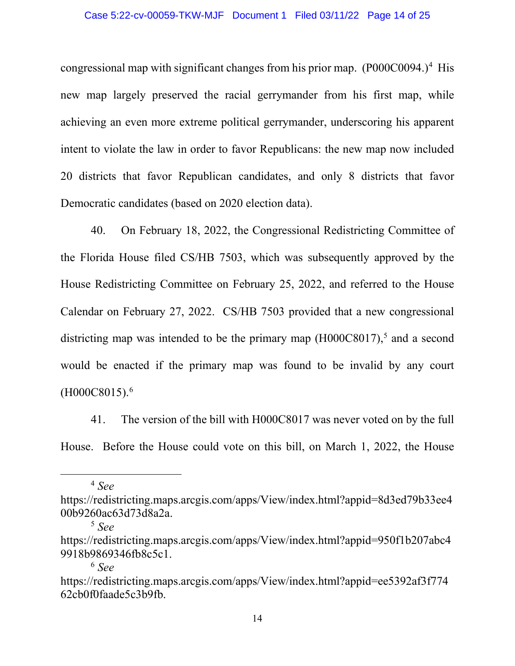#### Case 5:22-cv-00059-TKW-MJF Document 1 Filed 03/11/22 Page 14 of 25

congressional map with significant changes from his prior map.  $(P000C0094.)^4$  $(P000C0094.)^4$  $(P000C0094.)^4$  His new map largely preserved the racial gerrymander from his first map, while achieving an even more extreme political gerrymander, underscoring his apparent intent to violate the law in order to favor Republicans: the new map now included 20 districts that favor Republican candidates, and only 8 districts that favor Democratic candidates (based on 2020 election data).

40. On February 18, 2022, the Congressional Redistricting Committee of the Florida House filed CS/HB 7503, which was subsequently approved by the House Redistricting Committee on February 25, 2022, and referred to the House Calendar on February 27, 2022. CS/HB 7503 provided that a new congressional districting map was intended to be the primary map  $(H000C8017)$ ,<sup>[5](#page-13-1)</sup> and a second would be enacted if the primary map was found to be invalid by any court  $(H000C8015).<sup>6</sup>$  $(H000C8015).<sup>6</sup>$  $(H000C8015).<sup>6</sup>$ 

41. The version of the bill with H000C8017 was never voted on by the full House. Before the House could vote on this bill, on March 1, 2022, the House

<sup>4</sup> *See*

<span id="page-13-0"></span>https://redistricting.maps.arcgis.com/apps/View/index.html?appid=8d3ed79b33ee4 00b9260ac63d73d8a2a.

<sup>5</sup> *See*

<span id="page-13-1"></span>https://redistricting.maps.arcgis.com/apps/View/index.html?appid=950f1b207abc4 9918b9869346fb8c5c1.

<sup>6</sup> *See*

<span id="page-13-2"></span>https://redistricting.maps.arcgis.com/apps/View/index.html?appid=ee5392af3f774 62cb0f0faade5c3b9fb.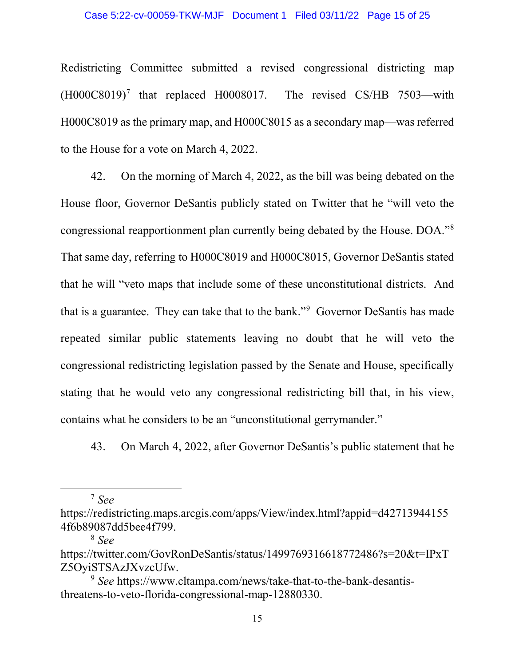#### Case 5:22-cv-00059-TKW-MJF Document 1 Filed 03/11/22 Page 15 of 25

Redistricting Committee submitted a revised congressional districting map  $(H000C8019)^7$  $(H000C8019)^7$  that replaced H0008017. The revised CS/HB 7503—with H000C8019 as the primary map, and H000C8015 as a secondary map—was referred to the House for a vote on March 4, 2022.

42. On the morning of March 4, 2022, as the bill was being debated on the House floor, Governor DeSantis publicly stated on Twitter that he "will veto the congressional reapportionment plan currently being debated by the House. DOA.["8](#page-14-1) That same day, referring to H000C8019 and H000C8015, Governor DeSantis stated that he will "veto maps that include some of these unconstitutional districts. And that is a guarantee. They can take that to the bank."<sup>[9](#page-14-2)</sup> Governor DeSantis has made repeated similar public statements leaving no doubt that he will veto the congressional redistricting legislation passed by the Senate and House, specifically stating that he would veto any congressional redistricting bill that, in his view, contains what he considers to be an "unconstitutional gerrymander."

43. On March 4, 2022, after Governor DeSantis's public statement that he

<sup>7</sup> *See*

<sup>8</sup> *See*

<span id="page-14-0"></span>https://redistricting.maps.arcgis.com/apps/View/index.html?appid=d42713944155 4f6b89087dd5bee4f799.

<span id="page-14-1"></span>https://twitter.com/GovRonDeSantis/status/1499769316618772486?s=20&t=IPxT Z5OyiSTSAzJXvzcUfw.

<span id="page-14-2"></span><sup>9</sup> *See* https://www.cltampa.com/news/take-that-to-the-bank-desantisthreatens-to-veto-florida-congressional-map-12880330.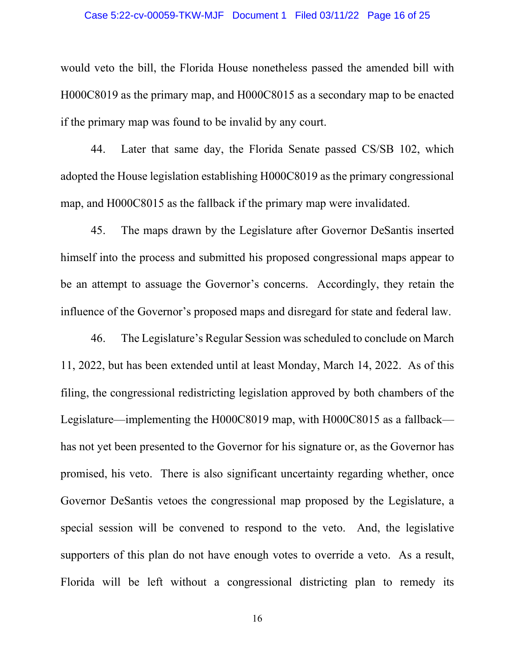#### Case 5:22-cv-00059-TKW-MJF Document 1 Filed 03/11/22 Page 16 of 25

would veto the bill, the Florida House nonetheless passed the amended bill with H000C8019 as the primary map, and H000C8015 as a secondary map to be enacted if the primary map was found to be invalid by any court.

44. Later that same day, the Florida Senate passed CS/SB 102, which adopted the House legislation establishing H000C8019 as the primary congressional map, and H000C8015 as the fallback if the primary map were invalidated.

45. The maps drawn by the Legislature after Governor DeSantis inserted himself into the process and submitted his proposed congressional maps appear to be an attempt to assuage the Governor's concerns. Accordingly, they retain the influence of the Governor's proposed maps and disregard for state and federal law.

46. The Legislature's Regular Session was scheduled to conclude on March 11, 2022, but has been extended until at least Monday, March 14, 2022. As of this filing, the congressional redistricting legislation approved by both chambers of the Legislature—implementing the H000C8019 map, with H000C8015 as a fallback has not yet been presented to the Governor for his signature or, as the Governor has promised, his veto. There is also significant uncertainty regarding whether, once Governor DeSantis vetoes the congressional map proposed by the Legislature, a special session will be convened to respond to the veto. And, the legislative supporters of this plan do not have enough votes to override a veto. As a result, Florida will be left without a congressional districting plan to remedy its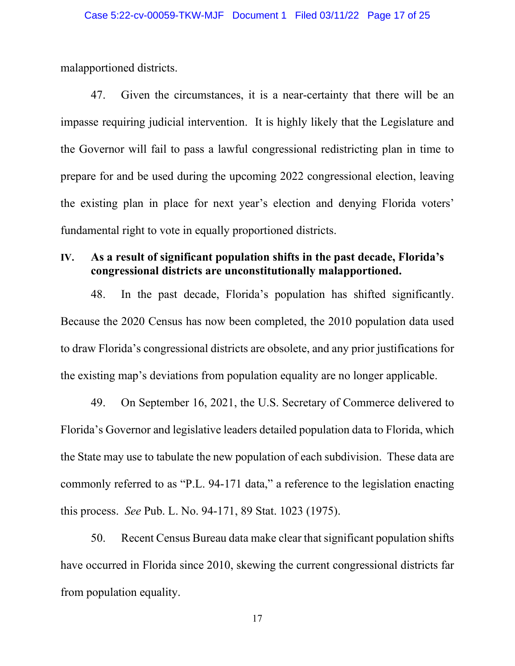malapportioned districts.

47. Given the circumstances, it is a near-certainty that there will be an impasse requiring judicial intervention. It is highly likely that the Legislature and the Governor will fail to pass a lawful congressional redistricting plan in time to prepare for and be used during the upcoming 2022 congressional election, leaving the existing plan in place for next year's election and denying Florida voters' fundamental right to vote in equally proportioned districts.

# **IV. As a result of significant population shifts in the past decade, Florida's congressional districts are unconstitutionally malapportioned.**

48. In the past decade, Florida's population has shifted significantly. Because the 2020 Census has now been completed, the 2010 population data used to draw Florida's congressional districts are obsolete, and any prior justifications for the existing map's deviations from population equality are no longer applicable.

49. On September 16, 2021, the U.S. Secretary of Commerce delivered to Florida's Governor and legislative leaders detailed population data to Florida, which the State may use to tabulate the new population of each subdivision. These data are commonly referred to as "P.L. 94-171 data," a reference to the legislation enacting this process. *See* Pub. L. No. 94-171, 89 Stat. 1023 (1975).

50. Recent Census Bureau data make clear that significant population shifts have occurred in Florida since 2010, skewing the current congressional districts far from population equality.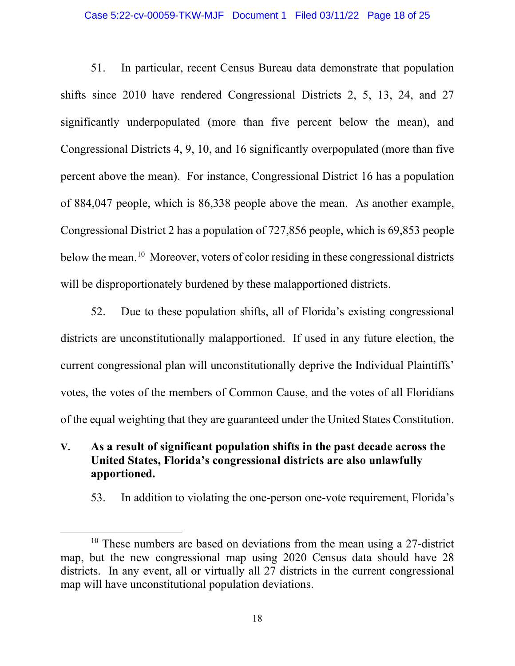#### Case 5:22-cv-00059-TKW-MJF Document 1 Filed 03/11/22 Page 18 of 25

51. In particular, recent Census Bureau data demonstrate that population shifts since 2010 have rendered Congressional Districts 2, 5, 13, 24, and 27 significantly underpopulated (more than five percent below the mean), and Congressional Districts 4, 9, 10, and 16 significantly overpopulated (more than five percent above the mean). For instance, Congressional District 16 has a population of 884,047 people, which is 86,338 people above the mean. As another example, Congressional District 2 has a population of 727,856 people, which is 69,853 people below the mean.<sup>[10](#page-17-0)</sup> Moreover, voters of color residing in these congressional districts will be disproportionately burdened by these malapportioned districts.

52. Due to these population shifts, all of Florida's existing congressional districts are unconstitutionally malapportioned. If used in any future election, the current congressional plan will unconstitutionally deprive the Individual Plaintiffs' votes, the votes of the members of Common Cause, and the votes of all Floridians of the equal weighting that they are guaranteed under the United States Constitution.

- **V. As a result of significant population shifts in the past decade across the United States, Florida's congressional districts are also unlawfully apportioned.**
	- 53. In addition to violating the one-person one-vote requirement, Florida's

<span id="page-17-0"></span> $10$  These numbers are based on deviations from the mean using a 27-district map, but the new congressional map using 2020 Census data should have 28 districts. In any event, all or virtually all 27 districts in the current congressional map will have unconstitutional population deviations.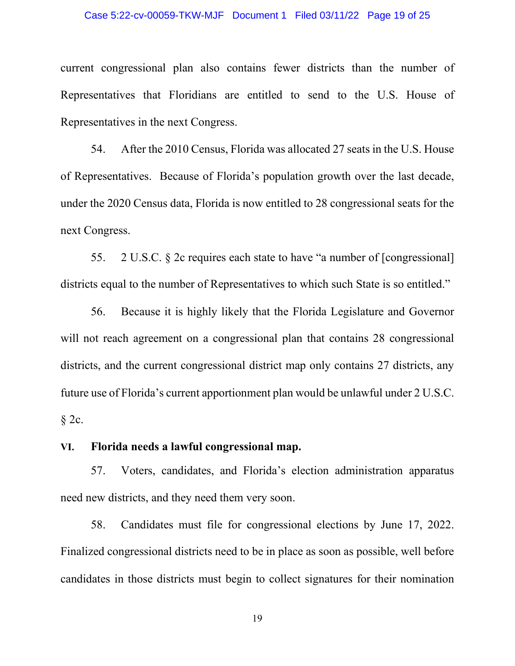#### Case 5:22-cv-00059-TKW-MJF Document 1 Filed 03/11/22 Page 19 of 25

current congressional plan also contains fewer districts than the number of Representatives that Floridians are entitled to send to the U.S. House of Representatives in the next Congress.

54. After the 2010 Census, Florida was allocated 27 seats in the U.S. House of Representatives. Because of Florida's population growth over the last decade, under the 2020 Census data, Florida is now entitled to 28 congressional seats for the next Congress.

55. 2 U.S.C. § 2c requires each state to have "a number of [congressional] districts equal to the number of Representatives to which such State is so entitled."

56. Because it is highly likely that the Florida Legislature and Governor will not reach agreement on a congressional plan that contains 28 congressional districts, and the current congressional district map only contains 27 districts, any future use of Florida's current apportionment plan would be unlawful under 2 U.S.C.  $§$  2c.

## **VI. Florida needs a lawful congressional map.**

57. Voters, candidates, and Florida's election administration apparatus need new districts, and they need them very soon.

58. Candidates must file for congressional elections by June 17, 2022. Finalized congressional districts need to be in place as soon as possible, well before candidates in those districts must begin to collect signatures for their nomination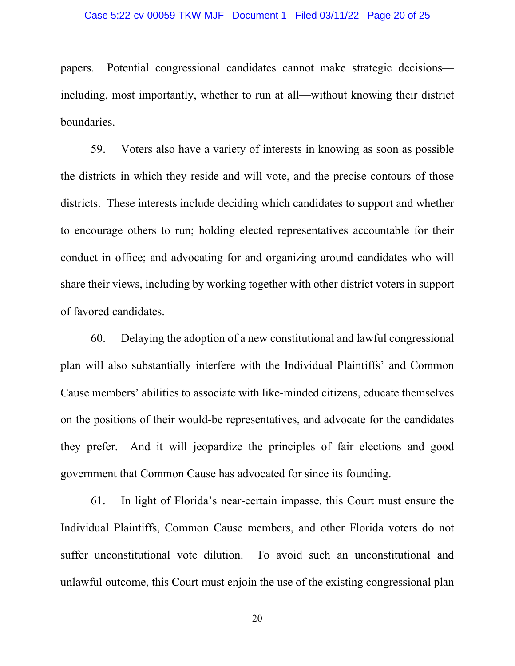#### Case 5:22-cv-00059-TKW-MJF Document 1 Filed 03/11/22 Page 20 of 25

papers. Potential congressional candidates cannot make strategic decisions–– including, most importantly, whether to run at all––without knowing their district boundaries.

59. Voters also have a variety of interests in knowing as soon as possible the districts in which they reside and will vote, and the precise contours of those districts. These interests include deciding which candidates to support and whether to encourage others to run; holding elected representatives accountable for their conduct in office; and advocating for and organizing around candidates who will share their views, including by working together with other district voters in support of favored candidates.

60. Delaying the adoption of a new constitutional and lawful congressional plan will also substantially interfere with the Individual Plaintiffs' and Common Cause members' abilities to associate with like-minded citizens, educate themselves on the positions of their would-be representatives, and advocate for the candidates they prefer. And it will jeopardize the principles of fair elections and good government that Common Cause has advocated for since its founding.

61. In light of Florida's near-certain impasse, this Court must ensure the Individual Plaintiffs, Common Cause members, and other Florida voters do not suffer unconstitutional vote dilution. To avoid such an unconstitutional and unlawful outcome, this Court must enjoin the use of the existing congressional plan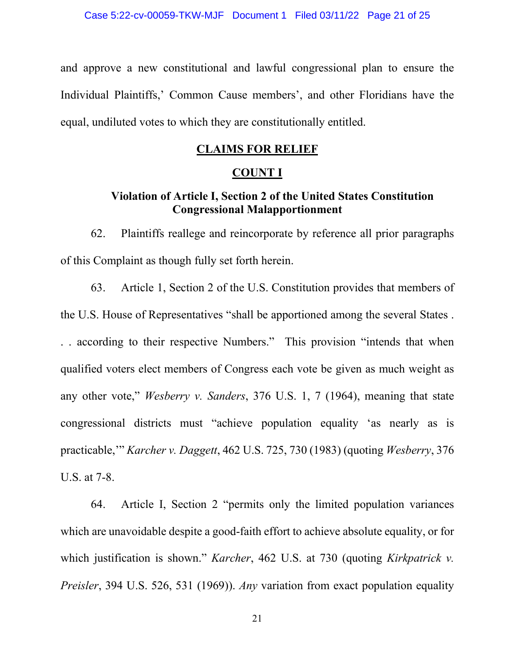and approve a new constitutional and lawful congressional plan to ensure the Individual Plaintiffs,' Common Cause members', and other Floridians have the equal, undiluted votes to which they are constitutionally entitled.

## **CLAIMS FOR RELIEF**

## **COUNT I**

# **Violation of Article I, Section 2 of the United States Constitution Congressional Malapportionment**

62. Plaintiffs reallege and reincorporate by reference all prior paragraphs of this Complaint as though fully set forth herein.

63. Article 1, Section 2 of the U.S. Constitution provides that members of the U.S. House of Representatives "shall be apportioned among the several States . . . according to their respective Numbers." This provision "intends that when qualified voters elect members of Congress each vote be given as much weight as any other vote," *Wesberry v. Sanders*, 376 U.S. 1, 7 (1964), meaning that state congressional districts must "achieve population equality 'as nearly as is practicable,'" *Karcher v. Daggett*, 462 U.S. 725, 730 (1983) (quoting *Wesberry*, 376 U.S. at 7-8.

64. Article I, Section 2 "permits only the limited population variances which are unavoidable despite a good-faith effort to achieve absolute equality, or for which justification is shown." *Karcher*, 462 U.S. at 730 (quoting *Kirkpatrick v. Preisler*, 394 U.S. 526, 531 (1969)). *Any* variation from exact population equality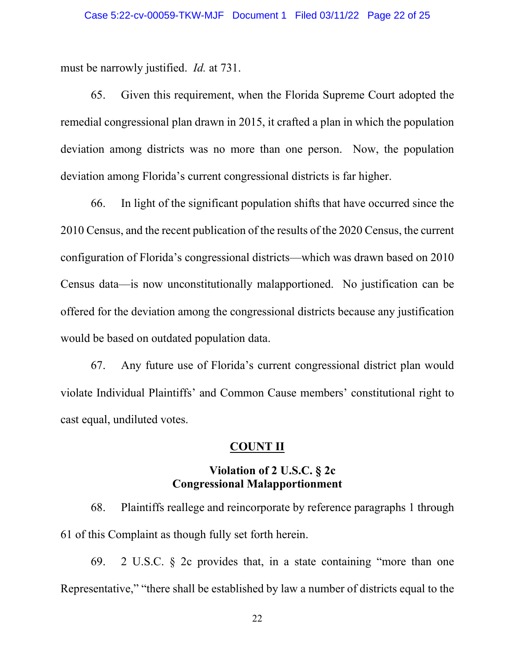must be narrowly justified. *Id.* at 731.

65. Given this requirement, when the Florida Supreme Court adopted the remedial congressional plan drawn in 2015, it crafted a plan in which the population deviation among districts was no more than one person. Now, the population deviation among Florida's current congressional districts is far higher.

66. In light of the significant population shifts that have occurred since the 2010 Census, and the recent publication of the results of the 2020 Census, the current configuration of Florida's congressional districts––which was drawn based on 2010 Census data––is now unconstitutionally malapportioned. No justification can be offered for the deviation among the congressional districts because any justification would be based on outdated population data.

67. Any future use of Florida's current congressional district plan would violate Individual Plaintiffs' and Common Cause members' constitutional right to cast equal, undiluted votes.

## **COUNT II**

## **Violation of 2 U.S.C. § 2c Congressional Malapportionment**

68. Plaintiffs reallege and reincorporate by reference paragraphs 1 through 61 of this Complaint as though fully set forth herein.

69. 2 U.S.C. § 2c provides that, in a state containing "more than one Representative," "there shall be established by law a number of districts equal to the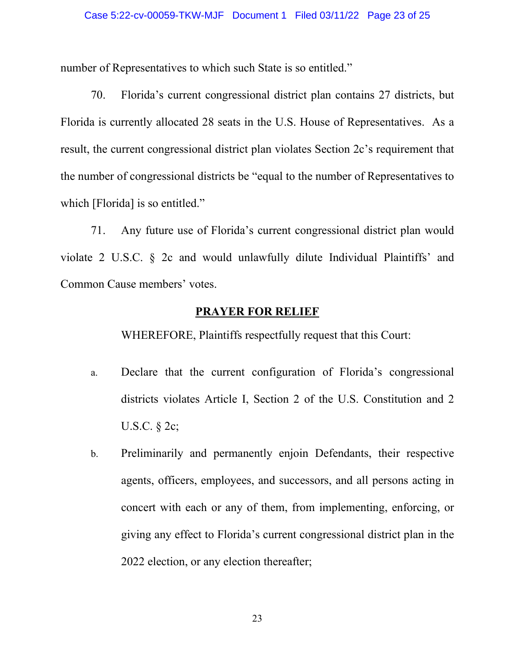number of Representatives to which such State is so entitled."

70. Florida's current congressional district plan contains 27 districts, but Florida is currently allocated 28 seats in the U.S. House of Representatives. As a result, the current congressional district plan violates Section 2c's requirement that the number of congressional districts be "equal to the number of Representatives to which [Florida] is so entitled."

71. Any future use of Florida's current congressional district plan would violate 2 U.S.C. § 2c and would unlawfully dilute Individual Plaintiffs' and Common Cause members' votes.

## **PRAYER FOR RELIEF**

WHEREFORE, Plaintiffs respectfully request that this Court:

- a. Declare that the current configuration of Florida's congressional districts violates Article I, Section 2 of the U.S. Constitution and 2 U.S.C. § 2c;
- b. Preliminarily and permanently enjoin Defendants, their respective agents, officers, employees, and successors, and all persons acting in concert with each or any of them, from implementing, enforcing, or giving any effect to Florida's current congressional district plan in the 2022 election, or any election thereafter;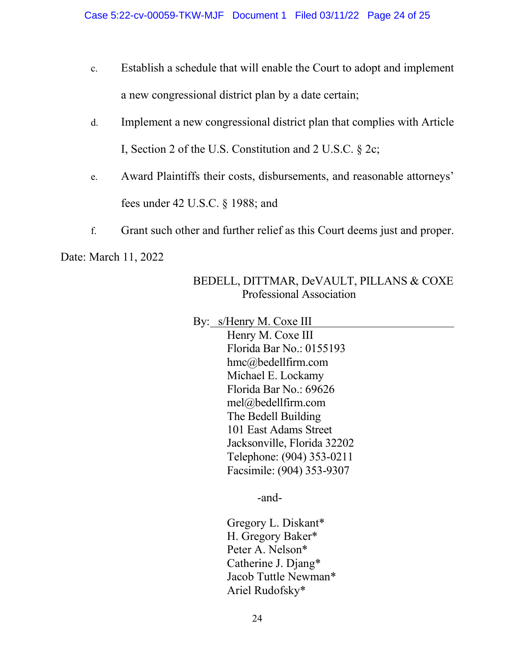- c. Establish a schedule that will enable the Court to adopt and implement a new congressional district plan by a date certain;
- d. Implement a new congressional district plan that complies with Article I, Section 2 of the U.S. Constitution and 2 U.S.C. § 2c;
- e. Award Plaintiffs their costs, disbursements, and reasonable attorneys' fees under 42 U.S.C. § 1988; and
- f. Grant such other and further relief as this Court deems just and proper.

Date: March 11, 2022

# BEDELL, DITTMAR, DeVAULT, PILLANS & COXE Professional Association

By: s/Henry M. Coxe III

Henry M. Coxe III Florida Bar No.: 0155193 hmc@bedellfirm.com Michael E. Lockamy Florida Bar No.: 69626 mel@bedellfirm.com The Bedell Building 101 East Adams Street Jacksonville, Florida 32202 Telephone: (904) 353-0211 Facsimile: (904) 353-9307

-and-

Gregory L. Diskant\* H. Gregory Baker\* Peter A. Nelson\* Catherine J. Djang\* Jacob Tuttle Newman\* Ariel Rudofsky\*